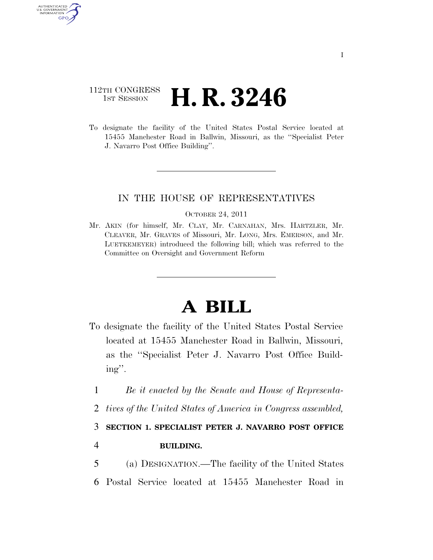# 112TH CONGRESS **1st Session H. R. 3246**

AUTHENTICATED U.S. GOVERNMENT GPO

> To designate the facility of the United States Postal Service located at 15455 Manchester Road in Ballwin, Missouri, as the ''Specialist Peter J. Navarro Post Office Building''.

## IN THE HOUSE OF REPRESENTATIVES

#### OCTOBER 24, 2011

Mr. AKIN (for himself, Mr. CLAY, Mr. CARNAHAN, Mrs. HARTZLER, Mr. CLEAVER, Mr. GRAVES of Missouri, Mr. LONG, Mrs. EMERSON, and Mr. LUETKEMEYER) introduced the following bill; which was referred to the Committee on Oversight and Government Reform

# **A BILL**

- To designate the facility of the United States Postal Service located at 15455 Manchester Road in Ballwin, Missouri, as the ''Specialist Peter J. Navarro Post Office Building''.
	- 1 *Be it enacted by the Senate and House of Representa-*
	- 2 *tives of the United States of America in Congress assembled,*

## 3 **SECTION 1. SPECIALIST PETER J. NAVARRO POST OFFICE**

- 4 **BUILDING.**
- 5 (a) DESIGNATION.—The facility of the United States 6 Postal Service located at 15455 Manchester Road in